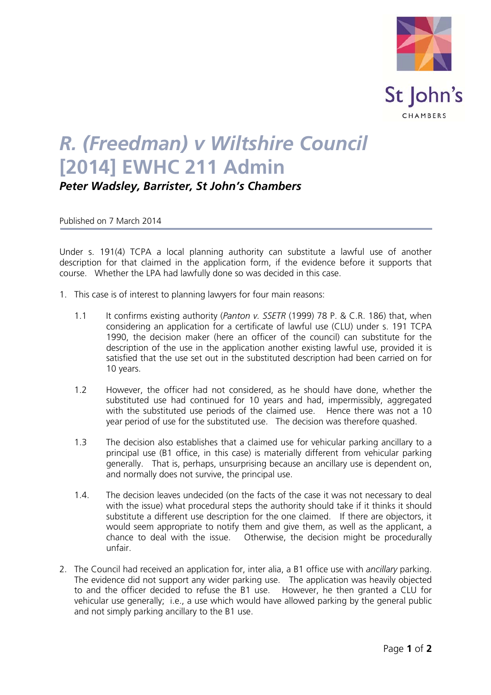

## *R. (Freedman) v Wiltshire Council* **[2014] EWHC 211 Admin**

*Peter Wadsley, Barrister, St John's Chambers*

Published on 7 March 2014

Under s. 191(4) TCPA a local planning authority can substitute a lawful use of another description for that claimed in the application form, if the evidence before it supports that course. Whether the LPA had lawfully done so was decided in this case.

- 1. This case is of interest to planning lawyers for four main reasons:
	- 1.1 It confirms existing authority (*Panton v. SSETR* (1999) 78 P. & C.R. 186) that, when considering an application for a certificate of lawful use (CLU) under s. 191 TCPA 1990, the decision maker (here an officer of the council) can substitute for the description of the use in the application another existing lawful use, provided it is satisfied that the use set out in the substituted description had been carried on for 10 years.
	- 1.2 However, the officer had not considered, as he should have done, whether the substituted use had continued for 10 years and had, impermissibly, aggregated with the substituted use periods of the claimed use. Hence there was not a 10 year period of use for the substituted use. The decision was therefore quashed.
	- 1.3 The decision also establishes that a claimed use for vehicular parking ancillary to a principal use (B1 office, in this case) is materially different from vehicular parking generally. That is, perhaps, unsurprising because an ancillary use is dependent on, and normally does not survive, the principal use.
	- 1.4. The decision leaves undecided (on the facts of the case it was not necessary to deal with the issue) what procedural steps the authority should take if it thinks it should substitute a different use description for the one claimed. If there are objectors, it would seem appropriate to notify them and give them, as well as the applicant, a chance to deal with the issue. Otherwise, the decision might be procedurally unfair.
- 2. The Council had received an application for, inter alia, a B1 office use with *ancillary* parking. The evidence did not support any wider parking use. The application was heavily objected to and the officer decided to refuse the B1 use. However, he then granted a CLU for vehicular use generally; i.e., a use which would have allowed parking by the general public and not simply parking ancillary to the B1 use.